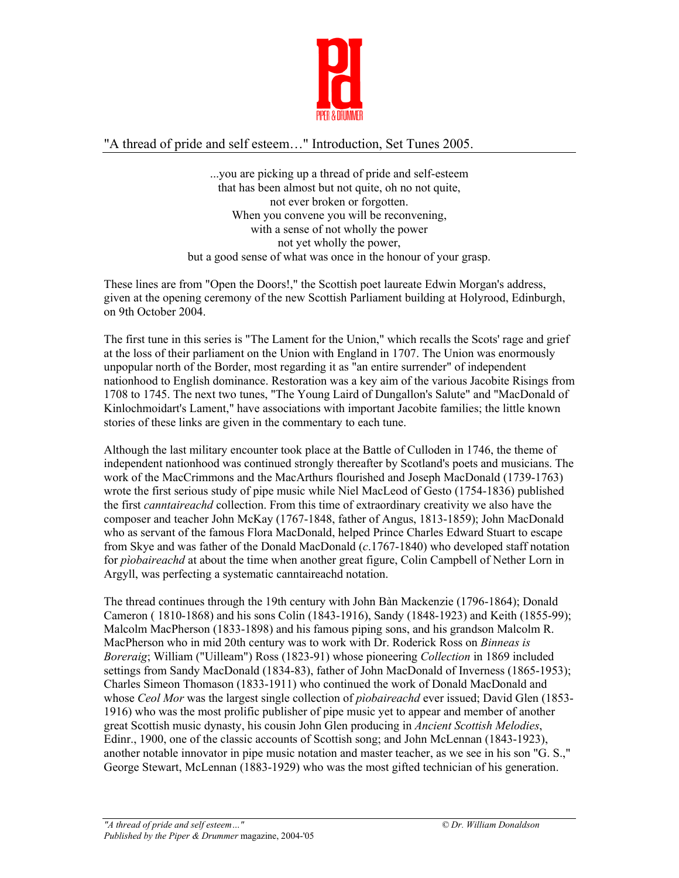

## "A thread of pride and self esteem…" Introduction, Set Tunes 2005.

...you are picking up a thread of pride and self-esteem that has been almost but not quite, oh no not quite, not ever broken or forgotten. When you convene you will be reconvening, with a sense of not wholly the power not yet wholly the power, but a good sense of what was once in the honour of your grasp.

These lines are from "Open the Doors!," the Scottish poet laureate Edwin Morgan's address, given at the opening ceremony of the new Scottish Parliament building at Holyrood, Edinburgh, on 9th October 2004.

The first tune in this series is "The Lament for the Union," which recalls the Scots' rage and grief at the loss of their parliament on the Union with England in 1707. The Union was enormously unpopular north of the Border, most regarding it as "an entire surrender" of independent nationhood to English dominance. Restoration was a key aim of the various Jacobite Risings from 1708 to 1745. The next two tunes, "The Young Laird of Dungallon's Salute" and "MacDonald of Kinlochmoidart's Lament," have associations with important Jacobite families; the little known stories of these links are given in the commentary to each tune.

Although the last military encounter took place at the Battle of Culloden in 1746, the theme of independent nationhood was continued strongly thereafter by Scotland's poets and musicians. The work of the MacCrimmons and the MacArthurs flourished and Joseph MacDonald (1739-1763) wrote the first serious study of pipe music while Niel MacLeod of Gesto (1754-1836) published the first *canntaireachd* collection. From this time of extraordinary creativity we also have the composer and teacher John McKay (1767-1848, father of Angus, 1813-1859); John MacDonald who as servant of the famous Flora MacDonald, helped Prince Charles Edward Stuart to escape from Skye and was father of the Donald MacDonald (*c*.1767-1840) who developed staff notation for *pìobaireachd* at about the time when another great figure, Colin Campbell of Nether Lorn in Argyll, was perfecting a systematic canntaireachd notation.

The thread continues through the 19th century with John Bàn Mackenzie (1796-1864); Donald Cameron ( 1810-1868) and his sons Colin (1843-1916), Sandy (1848-1923) and Keith (1855-99); Malcolm MacPherson (1833-1898) and his famous piping sons, and his grandson Malcolm R. MacPherson who in mid 20th century was to work with Dr. Roderick Ross on *Binneas is Boreraig*; William ("Uilleam") Ross (1823-91) whose pioneering *Collection* in 1869 included settings from Sandy MacDonald (1834-83), father of John MacDonald of Inverness (1865-1953); Charles Simeon Thomason (1833-1911) who continued the work of Donald MacDonald and whose *Ceol Mor* was the largest single collection of *pìobaireachd* ever issued; David Glen (1853- 1916) who was the most prolific publisher of pipe music yet to appear and member of another great Scottish music dynasty, his cousin John Glen producing in *Ancient Scottish Melodies*, Edinr., 1900, one of the classic accounts of Scottish song; and John McLennan (1843-1923), another notable innovator in pipe music notation and master teacher, as we see in his son "G. S.," George Stewart, McLennan (1883-1929) who was the most gifted technician of his generation.